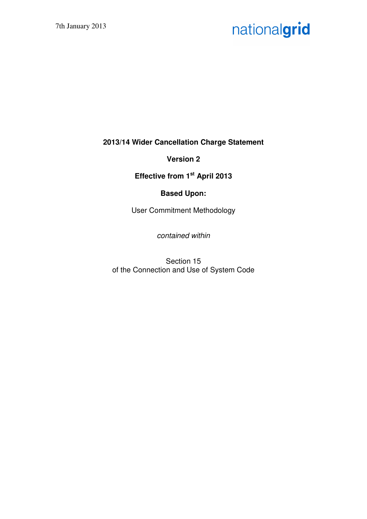# nationalgrid

**2013/14 Wider Cancellation Charge Statement** 

**Version 2** 

**Effective from 1st April 2013** 

# **Based Upon:**

User Commitment Methodology

contained within

Section 15 of the Connection and Use of System Code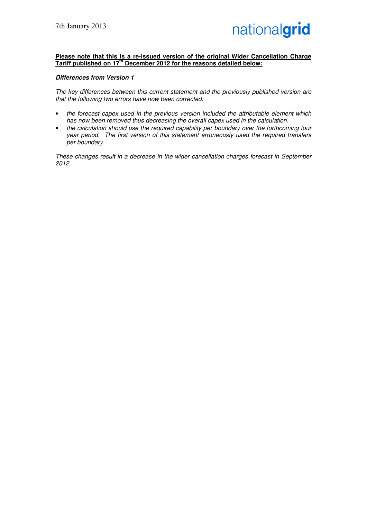#### **Please note that this is a re-issued version of the original Wider Cancellation Charge Tariff published on 17th December 2012 for the reasons detailed below:**

#### **Differences from Version 1**

The key differences between this current statement and the previously published version are that the following two errors have now been corrected:

- the forecast capex used in the previous version included the attributable element which has now been removed thus decreasing the overall capex used in the calculation.
- the calculation should use the required capability per boundary over the forthcoming four year period. The first version of this statement erroneously used the required transfers per boundary.

These changes result in a decrease in the wider cancellation charges forecast in September 2012.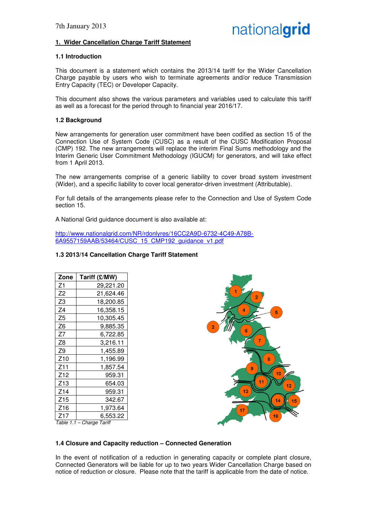# **1. Wider Cancellation Charge Tariff Statement**

#### **1.1 Introduction**

This document is a statement which contains the 2013/14 tariff for the Wider Cancellation Charge payable by users who wish to terminate agreements and/or reduce Transmission Entry Capacity (TEC) or Developer Capacity.

This document also shows the various parameters and variables used to calculate this tariff as well as a forecast for the period through to financial year 2016/17.

#### **1.2 Background**

New arrangements for generation user commitment have been codified as section 15 of the Connection Use of System Code (CUSC) as a result of the CUSC Modification Proposal (CMP) 192. The new arrangements will replace the interim Final Sums methodology and the Interim Generic User Commitment Methodology (IGUCM) for generators, and will take effect from 1 April 2013.

The new arrangements comprise of a generic liability to cover broad system investment (Wider), and a specific liability to cover local generator-driven investment (Attributable).

For full details of the arrangements please refer to the Connection and Use of System Code section 15.

A National Grid guidance document is also available at:

http://www.nationalgrid.com/NR/rdonlyres/16CC2A9D-6732-4C49-A78B-6A9557159AAB/53464/CUSC\_15\_CMP192\_guidance\_v1.pdf

#### **1.3 2013/14 Cancellation Charge Tariff Statement**

| Zone                      | Tariff (£/MW) |  |
|---------------------------|---------------|--|
| Ζ1                        | 29,221.20     |  |
| Z2                        | 21,624.46     |  |
| Z3                        | 18,200.85     |  |
| Z4                        | 16,358.15     |  |
| Z5                        | 10,305.45     |  |
| Z6                        | 9,885.35      |  |
| Z7                        | 6,722.85      |  |
| Z8                        | 3,216.11      |  |
| Z9                        | 1,455.89      |  |
| Z10                       | 1,196.99      |  |
| Z11                       | 1,857.54      |  |
| Z12                       | 959.31        |  |
| Z13                       | 654.03        |  |
| Z14                       | 959.31        |  |
| Z15                       | 342.67        |  |
| Z16                       | 1,973.64      |  |
| Z17                       | 6.553.22      |  |
| Table 1.1 - Charge Tariff |               |  |



# **1.4 Closure and Capacity reduction – Connected Generation**

In the event of notification of a reduction in generating capacity or complete plant closure, Connected Generators will be liable for up to two years Wider Cancellation Charge based on notice of reduction or closure. Please note that the tariff is applicable from the date of notice.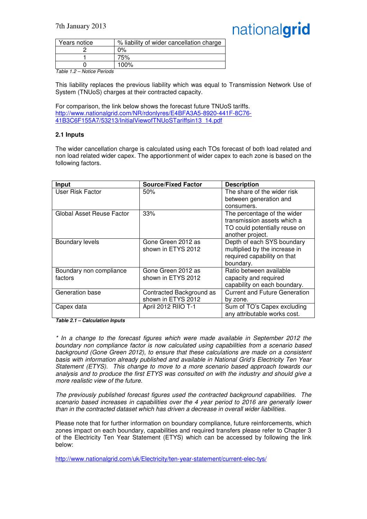# nationalgrid

| Years notice                     | % liability of wider cancellation charge |
|----------------------------------|------------------------------------------|
|                                  | 2%                                       |
|                                  | 75%                                      |
|                                  | 100%                                     |
| $T = k \cdot 40$ Netten Deviasta |                                          |

Table 1.2 – Notice Periods

This liability replaces the previous liability which was equal to Transmission Network Use of System (TNUoS) charges at their contracted capacity.

For comparison, the link below shows the forecast future TNUoS tariffs. http://www.nationalgrid.com/NR/rdonlyres/E4BFA3A5-8920-441F-8C76- 41B3C6F155A7/53213/InitialViewofTNUoSTariffsin13\_14.pdf

# **2.1 Inputs**

The wider cancellation charge is calculated using each TOs forecast of both load related and non load related wider capex. The apportionment of wider capex to each zone is based on the following factors.

| Input                     | <b>Source/Fixed Factor</b> | <b>Description</b>                   |
|---------------------------|----------------------------|--------------------------------------|
| User Risk Factor          | 50%                        | The share of the wider risk          |
|                           |                            | between generation and               |
|                           |                            | consumers.                           |
| Global Asset Reuse Factor | 33%                        | The percentage of the wider          |
|                           |                            | transmission assets which a          |
|                           |                            | TO could potentially reuse on        |
|                           |                            | another project.                     |
| Boundary levels           | Gone Green 2012 as         | Depth of each SYS boundary           |
|                           | shown in ETYS 2012         | multiplied by the increase in        |
|                           |                            | required capability on that          |
|                           |                            | boundary.                            |
| Boundary non compliance   | Gone Green 2012 as         | Ratio between available              |
| factors                   | shown in ETYS 2012         | capacity and required                |
|                           |                            | capability on each boundary.         |
| Generation base           | Contracted Background as   | <b>Current and Future Generation</b> |
|                           | shown in ETYS 2012         | by zone.                             |
| Capex data                | April 2012 RIIO T-1        | Sum of TO's Capex excluding          |
|                           |                            | any attributable works cost.         |

**Table 2.1 – Calculation Inputs** 

\* In a change to the forecast figures which were made available in September 2012 the boundary non compliance factor is now calculated using capabilities from a scenario based background (Gone Green 2012), to ensure that these calculations are made on a consistent basis with information already published and available in National Grid's Electricity Ten Year Statement (ETYS). This change to move to a more scenario based approach towards our analysis and to produce the first ETYS was consulted on with the industry and should give a more realistic view of the future.

The previously published forecast figures used the contracted background capabilities. The scenario based increases in capabilities over the 4 year period to 2016 are generally lower than in the contracted dataset which has driven a decrease in overall wider liabilities.

Please note that for further information on boundary compliance, future reinforcements, which zones impact on each boundary, capabilities and required transfers please refer to Chapter 3 of the Electricity Ten Year Statement (ETYS) which can be accessed by following the link below:

http://www.nationalgrid.com/uk/Electricity/ten-year-statement/current-elec-tys/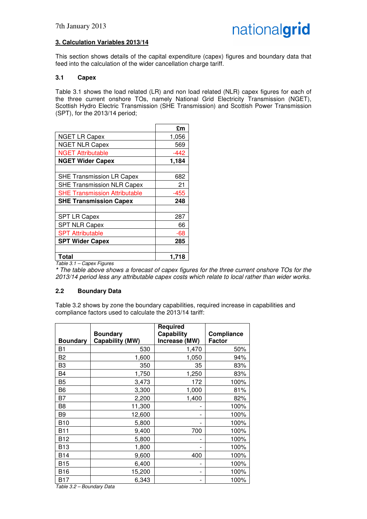# **3. Calculation Variables 2013/14**

This section shows details of the capital expenditure (capex) figures and boundary data that feed into the calculation of the wider cancellation charge tariff.

# **3.1 Capex**

Table 3.1 shows the load related (LR) and non load related (NLR) capex figures for each of the three current onshore TOs, namely National Grid Electricity Transmission (NGET), Scottish Hydro Electric Transmission (SHE Transmission) and Scottish Power Transmission (SPT), for the 2013/14 period;

|                                      | £m    |
|--------------------------------------|-------|
| <b>NGET LR Capex</b>                 | 1,056 |
| <b>NGET NLR Capex</b>                | 569   |
| <b>NGET Attributable</b>             | -442  |
| <b>NGET Wider Capex</b>              | 1,184 |
|                                      |       |
| <b>SHE Transmission LR Capex</b>     | 682   |
| <b>SHE Transmission NLR Capex</b>    | 21    |
| <b>SHE Transmission Attributable</b> | -455  |
| <b>SHE Transmission Capex</b>        | 248   |
|                                      |       |
| <b>SPT LR Capex</b>                  | 287   |
| <b>SPT NLR Capex</b>                 | 66    |
| <b>SPT Attributable</b>              | -68   |
| <b>SPT Wider Capex</b>               | 285   |
|                                      |       |
| <b>Total</b>                         | 1,718 |

Table 3.1 – Capex Figures

**\*** The table above shows a forecast of capex figures for the three current onshore TOs for the 2013/14 period less any attributable capex costs which relate to local rather than wider works.

# **2.2 Boundary Data**

Table 3.2 shows by zone the boundary capabilities, required increase in capabilities and compliance factors used to calculate the 2013/14 tariff:

|                 | <b>Boundary</b> | <b>Required</b><br><b>Capability</b> | Compliance    |
|-----------------|-----------------|--------------------------------------|---------------|
| <b>Boundary</b> | Capability (MW) | Increase (MW)                        | <b>Factor</b> |
| B1              | 530             | 1,470                                | 50%           |
| B2              | 1,600           | 1,050                                | 94%           |
| B <sub>3</sub>  | 350             | 35                                   | 83%           |
| B <sub>4</sub>  | 1,750           | 1,250                                | 83%           |
| B5              | 3,473           | 172                                  | 100%          |
| B <sub>6</sub>  | 3,300           | 1,000                                | 81%           |
| B7              | 2,200           | 1,400                                | 82%           |
| B <sub>8</sub>  | 11,300          |                                      | 100%          |
| B <sub>9</sub>  | 12,600          |                                      | 100%          |
| <b>B10</b>      | 5,800           |                                      | 100%          |
| <b>B11</b>      | 9,400           | 700                                  | 100%          |
| <b>B12</b>      | 5,800           |                                      | 100%          |
| <b>B13</b>      | 1,800           |                                      | 100%          |
| <b>B14</b>      | 9,600           | 400                                  | 100%          |
| <b>B15</b>      | 6,400           |                                      | 100%          |
| <b>B16</b>      | 15,200          |                                      | 100%          |
| <b>B17</b>      | 6,343           |                                      | 100%          |

Table 3.2 – Boundary Data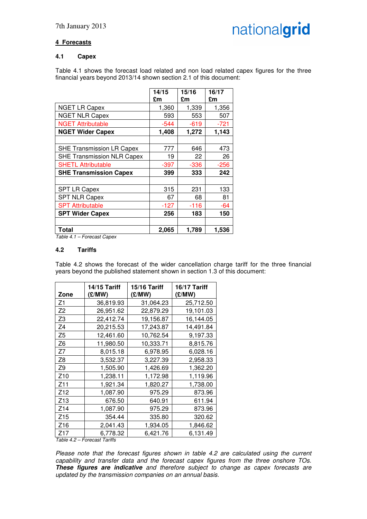# **4 Forecasts**

# **4.1 Capex**

Table 4.1 shows the forecast load related and non load related capex figures for the three financial years beyond 2013/14 shown section 2.1 of this document:

|                                   | 14/15  | 15/16  | 16/17  |
|-----------------------------------|--------|--------|--------|
|                                   | £m     | £m     | £m     |
| <b>NGET LR Capex</b>              | 1,360  | 1,339  | 1,356  |
| <b>NGET NLR Capex</b>             | 593    | 553    | 507    |
| <b>NGET Attributable</b>          | $-544$ | $-619$ | $-721$ |
| <b>NGET Wider Capex</b>           | 1,408  | 1,272  | 1,143  |
|                                   |        |        |        |
| <b>SHE Transmission LR Capex</b>  | 777    | 646    | 473    |
| <b>SHE Transmission NLR Capex</b> | 19     | 22     | 26     |
| <b>SHETL Attributable</b>         | -397   | $-336$ | $-256$ |
| <b>SHE Transmission Capex</b>     | 399    | 333    | 242    |
|                                   |        |        |        |
| <b>SPT LR Capex</b>               | 315    | 231    | 133    |
| <b>SPT NLR Capex</b>              | 67     | 68     | 81     |
| <b>SPT Attributable</b>           | -127   | $-116$ | -64    |
| <b>SPT Wider Capex</b>            | 256    | 183    | 150    |
|                                   |        |        |        |
| <b>Total</b>                      | 2,065  | 1,789  | 1,536  |

Table 4.1 – Forecast Capex

#### **4.2 Tariffs**

Table 4.2 shows the forecast of the wider cancellation charge tariff for the three financial years beyond the published statement shown in section 1.3 of this document:

| Zone               | 14/15 Tariff<br>(£/MW) | 15/16 Tariff<br>(E/MW) | 16/17 Tariff<br>(£/MW) |
|--------------------|------------------------|------------------------|------------------------|
| Z1                 | 36,819.93              | 31,064.23              | 25,712.50              |
| Z <sub>2</sub>     | 26,951.62              | 22,879.29              | 19,101.03              |
| Z <sub>3</sub>     | 22,412.74              | 19,156.87              | 16,144.05              |
| Z <sub>4</sub>     | 20,215.53              | 17,243.87              | 14,491.84              |
| Z <sub>5</sub>     | 12,461.60              | 10,762.54              | 9,197.33               |
| Z <sub>6</sub>     | 11,980.50              | 10,333.71              | 8,815.76               |
| Z7                 | 8,015.18               | 6,978.95               | 6,028.16               |
| Z <sub>8</sub>     | 3,532.37               | 3,227.39               | 2,958.33               |
| Z <sub>9</sub>     | 1,505.90               | 1,426.69               | 1,362.20               |
| Z <sub>10</sub>    | 1,238.11               | 1,172.98               | 1,119.96               |
| Z11                | 1,921.34               | 1,820.27               | 1,738.00               |
| Z12                | 1,087.90               | 975.29                 | 873.96                 |
| Z <sub>13</sub>    | 676.50                 | 640.91                 | 611.94                 |
| Z14                | 1,087.90               | 975.29                 | 873.96                 |
| Z15                | 354.44                 | 335.80                 | 320.62                 |
| Z <sub>16</sub>    | 2,041.43               | 1,934.05               | 1,846.62               |
| Z17<br>$T - L - L$ | 6,778.32               | 6,421.76               | 6,131.49               |

Table 4.2 – Forecast Tariffs

Please note that the forecast figures shown in table 4.2 are calculated using the current capability and transfer data and the forecast capex figures from the three onshore TOs. **These figures are indicative** and therefore subject to change as capex forecasts are updated by the transmission companies on an annual basis.